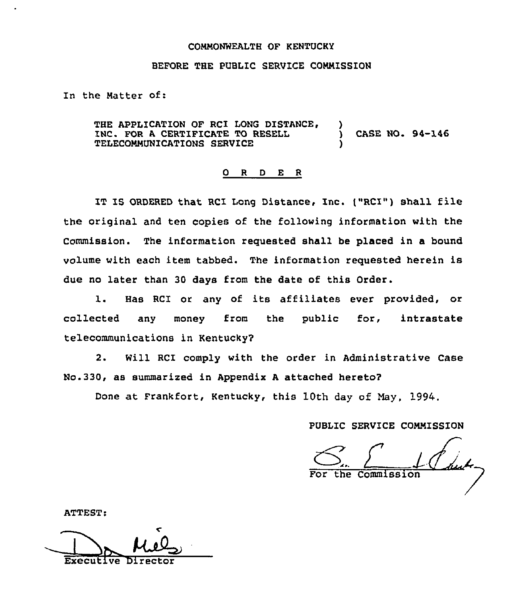## COMMONWEALTH OF KENTUCKY

## BEFORE THE PUBLIC SERVICE COMMISSION

In the Matter of:

THE APPLICATION OF RCI LONG DISTANCE, INC. FOR A CERTIFICATE TO RESELL TELECOMMUNICATIONS SERVICE ) ) CASE NO. 94-146 )

## 0 <sup>R</sup> <sup>D</sup> E <sup>R</sup>

IT IS ORDERED that RCI Long Distance, Inc. ("RCI") Shall file the original and ten copies of the following information with the Commission. The information requested shall be placed in a bound volume with each item tabbed. The information requested herein is due no later than 30 days from the date of this Order.

1. Has RCI or any of its affiliates ever provided, or collected any money from the public for, intrastate telecommunications in Kentucky?

2. Will RCI comply with the order in Administrative Case No.330, as summarized in Appendix <sup>A</sup> attached hereto'

Done at Frankfort, Kentucky, this 10th day of May, 1994.

PUBLIC SERVICE COMMISSION

 $\frac{1}{n}$  can be

ATTEST:

Executive Director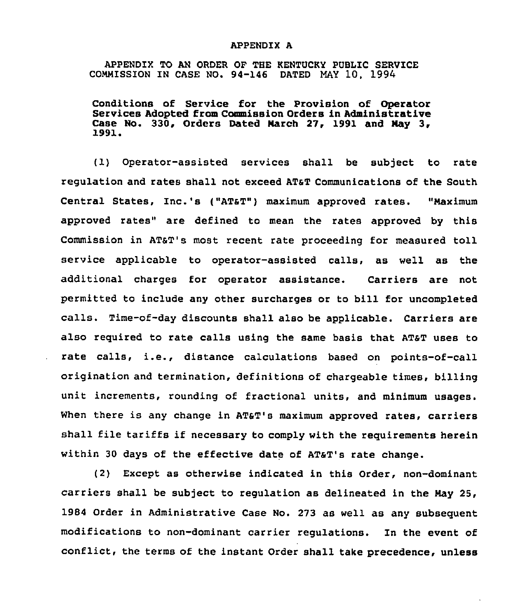## APPENDIX A

APPENDIX TO AN ORDER OF THE KENTUCKY PUBLIC SERVICE CONMISSION IN CASE NO. 94-146 DATED MAY 10, 1994

Conditions of Service for the Provision of Operator Services Adopted from Commission Orders in Administrative Case No. 330, Orders Dated March 27, 1991 and May 3,  $1991.$ 

(1} Operator-assisted services shall be subject to rate regulation and rates shall not exceed ATST Communications of the South Central States, Inc.'s ("ATsT") maximum approved rates. "Naximum approved rates" are defined to mean the rates approved by this Commission in AT&T's most recent rate proceeding for measured toll service applicable to operator-assisted calls, as well as the additional charges for operator assistance. Carriers are not permitted to include any other surcharges or to bill for uncompleted calls. Time-of-day discounts shall also be applicable. Carriers are also required to rate calls using the same basis that ATST uses to rate calls, i.e., distance calculations based on points-of-call origination and termination, definitions of chargeable times, billing unit increments, rounding of fractional units, and minimum usages. When there is any change in AT&T's maximum approved rates, carriers shall file tariffs if necessary to comply with the requirements herein within 30 days of the effective date of AT&T's rate change.

(2) Except as otherwise indicated in this Order, non-dominant carriers shall be subject to regulation as delineated in the Nay 25, 1984 Order in Administrative Case No. 273 as well as any subsequent modifications to non-dominant carrier regulations. In the event of conflict, the terms of the instant Order shall take precedence, unless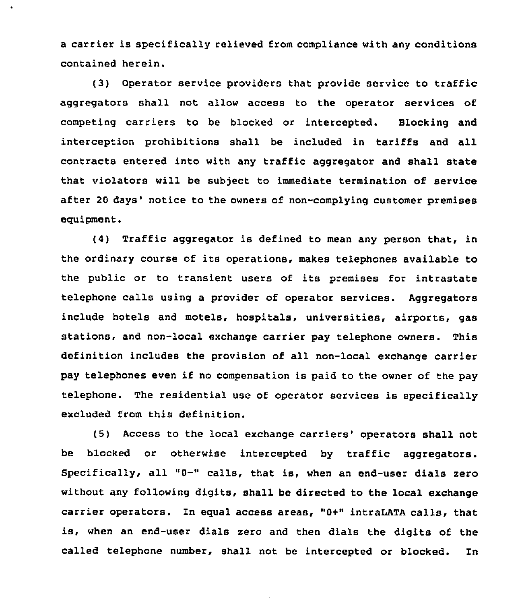a carrier is specifically relieved from compliance with any conditions contained herein.

(3) Operator service providers that provide service to traffic aggregators shall not allow access to the operator services of competing carriers to be blocked or intercepted. Blocking and interception prohibitions shall be included in tariffs and all contracts entered into with any traffic aggregator and shall state that violators will be subject to immediate termination of service after 20 days' notice to the owners of non-complying customer premises equipment.

(4) Traffic aggregator is defined to mean any person that, in the ordinary course of its operations, makes telephones available to the public or to transient users of its premises for intrastate telephone calls using a provider of operator services. Aggregators include hotels and motels, hospitals, universities, airports, gas stations, and non-local exchange carrier pay telephone owners. This definition includes the provision of all non-local exchange carrier pay telephones even if no compensation is paid to the owner of the pay telephone. The residential use of operator services is specifically excluded from this definition.

(5) Access to the local exchange carriers' operators shall not be blocked or otherwise intercepted by traffic aggregators. Specifically, all "0-" calls, that is, when an end-user dials zero without any following digits, shall be directed to the local exchange carrier operators. In equal access areas, "0+" intraLATA calls, that is, when an end-user dials zero and then dials the digits of the called telephone number, shall not be intercepted or blocked. In